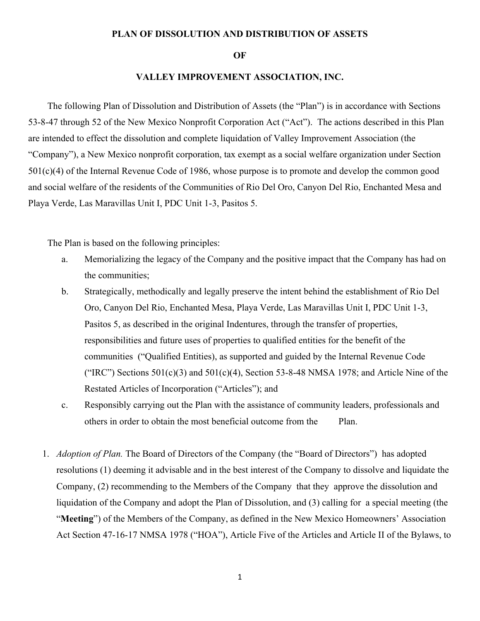## **PLAN OF DISSOLUTION AND DISTRIBUTION OF ASSETS**

## **OF**

## **VALLEY IMPROVEMENT ASSOCIATION, INC.**

The following Plan of Dissolution and Distribution of Assets (the "Plan") is in accordance with Sections 53-8-47 through 52 of the New Mexico Nonprofit Corporation Act ("Act"). The actions described in this Plan are intended to effect the dissolution and complete liquidation of Valley Improvement Association (the "Company"), a New Mexico nonprofit corporation, tax exempt as a social welfare organization under Section 501(c)(4) of the Internal Revenue Code of 1986, whose purpose is to promote and develop the common good and social welfare of the residents of the Communities of Rio Del Oro, Canyon Del Rio, Enchanted Mesa and Playa Verde, Las Maravillas Unit I, PDC Unit 1-3, Pasitos 5.

The Plan is based on the following principles:

- a. Memorializing the legacy of the Company and the positive impact that the Company has had on the communities;
- b. Strategically, methodically and legally preserve the intent behind the establishment of Rio Del Oro, Canyon Del Rio, Enchanted Mesa, Playa Verde, Las Maravillas Unit I, PDC Unit 1-3, Pasitos 5, as described in the original Indentures, through the transfer of properties, responsibilities and future uses of properties to qualified entities for the benefit of the communities ("Qualified Entities), as supported and guided by the Internal Revenue Code ("IRC") Sections  $501(c)(3)$  and  $501(c)(4)$ , Section 53-8-48 NMSA 1978; and Article Nine of the Restated Articles of Incorporation ("Articles"); and
- c. Responsibly carrying out the Plan with the assistance of community leaders, professionals and others in order to obtain the most beneficial outcome from the Plan.
- 1. *Adoption of Plan.* The Board of Directors of the Company (the "Board of Directors") has adopted resolutions (1) deeming it advisable and in the best interest of the Company to dissolve and liquidate the Company, (2) recommending to the Members of the Company that they approve the dissolution and liquidation of the Company and adopt the Plan of Dissolution, and (3) calling for a special meeting (the "**Meeting**") of the Members of the Company, as defined in the New Mexico Homeowners' Association Act Section 47-16-17 NMSA 1978 ("HOA"), Article Five of the Articles and Article II of the Bylaws, to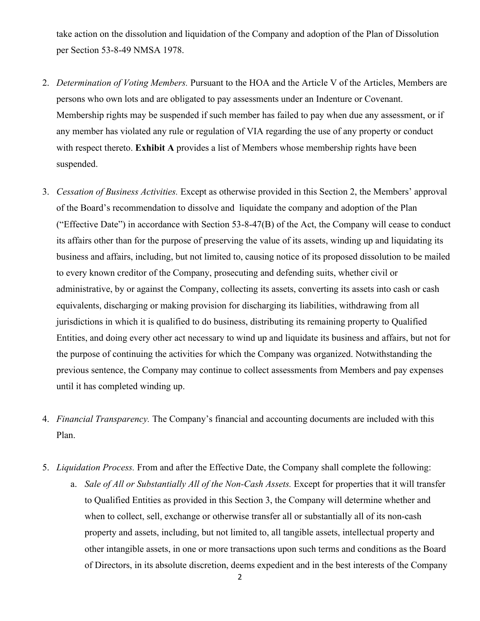take action on the dissolution and liquidation of the Company and adoption of the Plan of Dissolution per Section 53-8-49 NMSA 1978.

- 2. *Determination of Voting Members.* Pursuant to the HOA and the Article V of the Articles, Members are persons who own lots and are obligated to pay assessments under an Indenture or Covenant. Membership rights may be suspended if such member has failed to pay when due any assessment, or if any member has violated any rule or regulation of VIA regarding the use of any property or conduct with respect thereto. **Exhibit A** provides a list of Members whose membership rights have been suspended.
- 3. *Cessation of Business Activities.* Except as otherwise provided in this Section 2, the Members' approval of the Board's recommendation to dissolve and liquidate the company and adoption of the Plan ("Effective Date") in accordance with Section 53-8-47(B) of the Act, the Company will cease to conduct its affairs other than for the purpose of preserving the value of its assets, winding up and liquidating its business and affairs, including, but not limited to, causing notice of its proposed dissolution to be mailed to every known creditor of the Company, prosecuting and defending suits, whether civil or administrative, by or against the Company, collecting its assets, converting its assets into cash or cash equivalents, discharging or making provision for discharging its liabilities, withdrawing from all jurisdictions in which it is qualified to do business, distributing its remaining property to Qualified Entities, and doing every other act necessary to wind up and liquidate its business and affairs, but not for the purpose of continuing the activities for which the Company was organized. Notwithstanding the previous sentence, the Company may continue to collect assessments from Members and pay expenses until it has completed winding up.
- 4. *Financial Transparency.* The Company's financial and accounting documents are included with this Plan.
- 5. *Liquidation Process.* From and after the Effective Date, the Company shall complete the following:
	- a. *Sale of All or Substantially All of the Non-Cash Assets.* Except for properties that it will transfer to Qualified Entities as provided in this Section 3, the Company will determine whether and when to collect, sell, exchange or otherwise transfer all or substantially all of its non-cash property and assets, including, but not limited to, all tangible assets, intellectual property and other intangible assets, in one or more transactions upon such terms and conditions as the Board of Directors, in its absolute discretion, deems expedient and in the best interests of the Company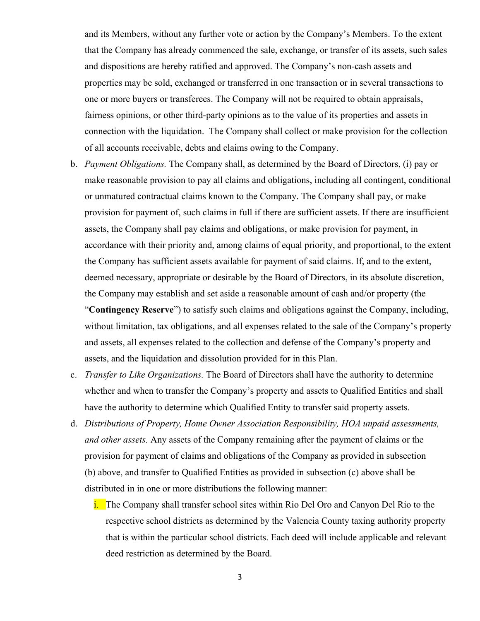and its Members, without any further vote or action by the Company's Members. To the extent that the Company has already commenced the sale, exchange, or transfer of its assets, such sales and dispositions are hereby ratified and approved. The Company's non-cash assets and properties may be sold, exchanged or transferred in one transaction or in several transactions to one or more buyers or transferees. The Company will not be required to obtain appraisals, fairness opinions, or other third-party opinions as to the value of its properties and assets in connection with the liquidation. The Company shall collect or make provision for the collection of all accounts receivable, debts and claims owing to the Company.

- b. *Payment Obligations.* The Company shall, as determined by the Board of Directors, (i) pay or make reasonable provision to pay all claims and obligations, including all contingent, conditional or unmatured contractual claims known to the Company. The Company shall pay, or make provision for payment of, such claims in full if there are sufficient assets. If there are insufficient assets, the Company shall pay claims and obligations, or make provision for payment, in accordance with their priority and, among claims of equal priority, and proportional, to the extent the Company has sufficient assets available for payment of said claims. If, and to the extent, deemed necessary, appropriate or desirable by the Board of Directors, in its absolute discretion, the Company may establish and set aside a reasonable amount of cash and/or property (the "**Contingency Reserve**") to satisfy such claims and obligations against the Company, including, without limitation, tax obligations, and all expenses related to the sale of the Company's property and assets, all expenses related to the collection and defense of the Company's property and assets, and the liquidation and dissolution provided for in this Plan.
- c. *Transfer to Like Organizations.* The Board of Directors shall have the authority to determine whether and when to transfer the Company's property and assets to Qualified Entities and shall have the authority to determine which Qualified Entity to transfer said property assets.
- d. *Distributions of Property, Home Owner Association Responsibility, HOA unpaid assessments, and other assets.* Any assets of the Company remaining after the payment of claims or the provision for payment of claims and obligations of the Company as provided in subsection (b) above, and transfer to Qualified Entities as provided in subsection (c) above shall be distributed in in one or more distributions the following manner:
	- i. The Company shall transfer school sites within Rio Del Oro and Canyon Del Rio to the respective school districts as determined by the Valencia County taxing authority property that is within the particular school districts. Each deed will include applicable and relevant deed restriction as determined by the Board.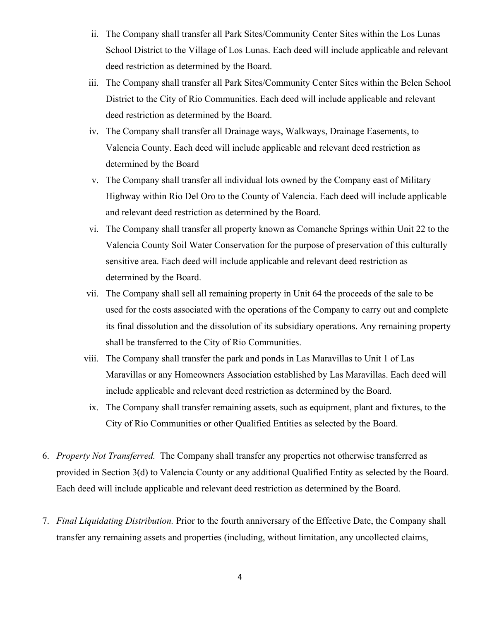- ii. The Company shall transfer all Park Sites/Community Center Sites within the Los Lunas School District to the Village of Los Lunas. Each deed will include applicable and relevant deed restriction as determined by the Board.
- iii. The Company shall transfer all Park Sites/Community Center Sites within the Belen School District to the City of Rio Communities. Each deed will include applicable and relevant deed restriction as determined by the Board.
- iv. The Company shall transfer all Drainage ways, Walkways, Drainage Easements, to Valencia County. Each deed will include applicable and relevant deed restriction as determined by the Board
- v. The Company shall transfer all individual lots owned by the Company east of Military Highway within Rio Del Oro to the County of Valencia. Each deed will include applicable and relevant deed restriction as determined by the Board.
- vi. The Company shall transfer all property known as Comanche Springs within Unit 22 to the Valencia County Soil Water Conservation for the purpose of preservation of this culturally sensitive area. Each deed will include applicable and relevant deed restriction as determined by the Board.
- vii. The Company shall sell all remaining property in Unit 64 the proceeds of the sale to be used for the costs associated with the operations of the Company to carry out and complete its final dissolution and the dissolution of its subsidiary operations. Any remaining property shall be transferred to the City of Rio Communities.
- viii. The Company shall transfer the park and ponds in Las Maravillas to Unit 1 of Las Maravillas or any Homeowners Association established by Las Maravillas. Each deed will include applicable and relevant deed restriction as determined by the Board.
	- ix. The Company shall transfer remaining assets, such as equipment, plant and fixtures, to the City of Rio Communities or other Qualified Entities as selected by the Board.
- 6. *Property Not Transferred.* The Company shall transfer any properties not otherwise transferred as provided in Section 3(d) to Valencia County or any additional Qualified Entity as selected by the Board. Each deed will include applicable and relevant deed restriction as determined by the Board.
- 7. *Final Liquidating Distribution.* Prior to the fourth anniversary of the Effective Date, the Company shall transfer any remaining assets and properties (including, without limitation, any uncollected claims,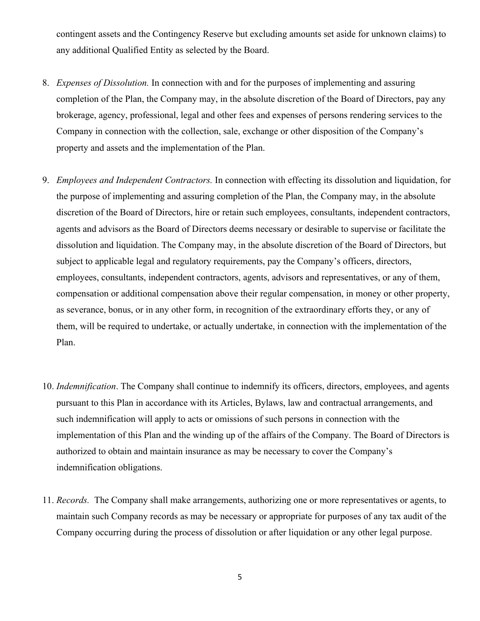contingent assets and the Contingency Reserve but excluding amounts set aside for unknown claims) to any additional Qualified Entity as selected by the Board.

- 8. *Expenses of Dissolution.* In connection with and for the purposes of implementing and assuring completion of the Plan, the Company may, in the absolute discretion of the Board of Directors, pay any brokerage, agency, professional, legal and other fees and expenses of persons rendering services to the Company in connection with the collection, sale, exchange or other disposition of the Company's property and assets and the implementation of the Plan.
- 9. *Employees and Independent Contractors.* In connection with effecting its dissolution and liquidation, for the purpose of implementing and assuring completion of the Plan, the Company may, in the absolute discretion of the Board of Directors, hire or retain such employees, consultants, independent contractors, agents and advisors as the Board of Directors deems necessary or desirable to supervise or facilitate the dissolution and liquidation. The Company may, in the absolute discretion of the Board of Directors, but subject to applicable legal and regulatory requirements, pay the Company's officers, directors, employees, consultants, independent contractors, agents, advisors and representatives, or any of them, compensation or additional compensation above their regular compensation, in money or other property, as severance, bonus, or in any other form, in recognition of the extraordinary efforts they, or any of them, will be required to undertake, or actually undertake, in connection with the implementation of the Plan.
- 10. *Indemnification*. The Company shall continue to indemnify its officers, directors, employees, and agents pursuant to this Plan in accordance with its Articles, Bylaws, law and contractual arrangements, and such indemnification will apply to acts or omissions of such persons in connection with the implementation of this Plan and the winding up of the affairs of the Company. The Board of Directors is authorized to obtain and maintain insurance as may be necessary to cover the Company's indemnification obligations.
- 11. *Records.* The Company shall make arrangements, authorizing one or more representatives or agents, to maintain such Company records as may be necessary or appropriate for purposes of any tax audit of the Company occurring during the process of dissolution or after liquidation or any other legal purpose.